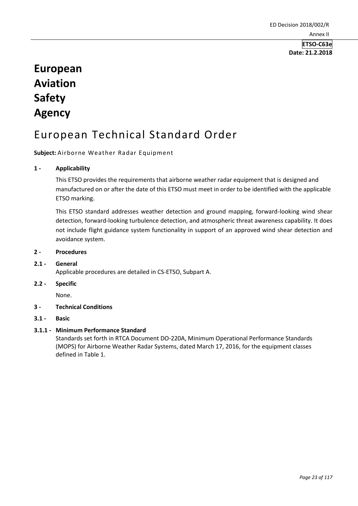# **Date: 21.2.2018**

# **European Aviation Safety Agency**

# European Technical Standard Order

# **Subject:** Airborne Weather Radar Equipment

# **1 - Applicability**

This ETSO provides the requirements that airborne weather radar equipment that is designed and manufactured on or after the date of this ETSO must meet in order to be identified with the applicable ETSO marking.

This ETSO standard addresses weather detection and ground mapping, forward-looking wind shear detection, forward-looking turbulence detection, and atmospheric threat awareness capability. It does not include flight guidance system functionality in support of an approved wind shear detection and avoidance system.

## **2 - Procedures**

# **2.1 - General**

Applicable procedures are detailed in CS-ETSO, Subpart A.

## **2.2 - Specific**

None.

# **3 - Technical Conditions**

**3.1 - Basic** 

# **3.1.1 - Minimum Performance Standard**

Standards set forth in RTCA Document DO-220A, Minimum Operational Performance Standards (MOPS) for Airborne Weather Radar Systems, dated March 17, 2016, for the equipment classes defined in Table 1.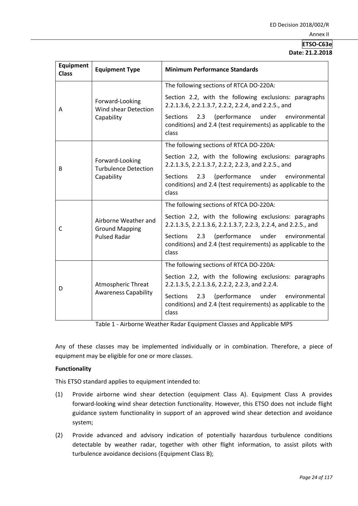# **ETSO-C63e Date: 21.2.2018**

| <b>Equipment</b><br><b>Class</b> | <b>Equipment Type</b>                                                | <b>Minimum Performance Standards</b>                                                                                                      |
|----------------------------------|----------------------------------------------------------------------|-------------------------------------------------------------------------------------------------------------------------------------------|
| A                                | Forward-Looking<br>Wind shear Detection<br>Capability                | The following sections of RTCA DO-220A:                                                                                                   |
|                                  |                                                                      | Section 2.2, with the following exclusions: paragraphs<br>2.2.1.3.6, 2.2.1.3.7, 2.2.2, 2.2.4, and 2.2.5., and                             |
|                                  |                                                                      | <b>Sections</b><br>2.3 (performance under environmental<br>conditions) and 2.4 (test requirements) as applicable to the<br>class          |
| B                                | Forward-Looking<br><b>Turbulence Detection</b><br>Capability         | The following sections of RTCA DO-220A:                                                                                                   |
|                                  |                                                                      | Section 2.2, with the following exclusions: paragraphs<br>2.2.1.3.5, 2.2.1.3.7, 2.2.2, 2.2.3, and 2.2.5., and                             |
|                                  |                                                                      | 2.3<br>(performance<br>under<br><b>Sections</b><br>environmental<br>conditions) and 2.4 (test requirements) as applicable to the<br>class |
| С                                | Airborne Weather and<br><b>Ground Mapping</b><br><b>Pulsed Radar</b> | The following sections of RTCA DO-220A:                                                                                                   |
|                                  |                                                                      | Section 2.2, with the following exclusions: paragraphs<br>2.2.1.3.5, 2.2.1.3.6, 2.2.1.3.7, 2.2.3, 2.2.4, and 2.2.5., and                  |
|                                  |                                                                      | (performance<br>under<br><b>Sections</b><br>2.3<br>environmental<br>conditions) and 2.4 (test requirements) as applicable to the<br>class |
| D                                | Atmospheric Threat<br><b>Awareness Capability</b>                    | The following sections of RTCA DO-220A:                                                                                                   |
|                                  |                                                                      | Section 2.2, with the following exclusions: paragraphs<br>2.2.1.3.5, 2.2.1.3.6, 2.2.2, 2.2.3, and 2.2.4.                                  |
|                                  |                                                                      | <b>Sections</b><br>2.3<br>(performance<br>under<br>environmental<br>conditions) and 2.4 (test requirements) as applicable to the<br>class |

Table 1 - Airborne Weather Radar Equipment Classes and Applicable MPS

Any of these classes may be implemented individually or in combination. Therefore, a piece of equipment may be eligible for one or more classes.

# **Functionality**

This ETSO standard applies to equipment intended to:

- (1) Provide airborne wind shear detection (equipment Class A). Equipment Class A provides forward-looking wind shear detection functionality. However, this ETSO does not include flight guidance system functionality in support of an approved wind shear detection and avoidance system;
- (2) Provide advanced and advisory indication of potentially hazardous turbulence conditions detectable by weather radar, together with other flight information, to assist pilots with turbulence avoidance decisions (Equipment Class B);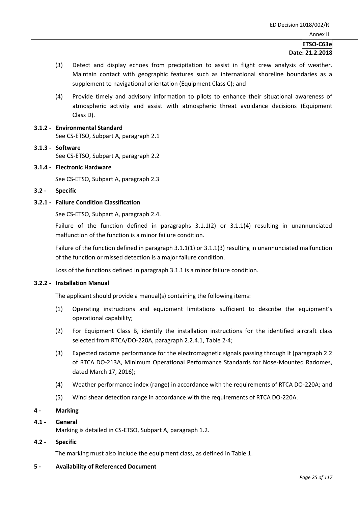# **ETSO-C63e Date: 21.2.2018**

- (3) Detect and display echoes from precipitation to assist in flight crew analysis of weather. Maintain contact with geographic features such as international shoreline boundaries as a supplement to navigational orientation (Equipment Class C); and
- (4) Provide timely and advisory information to pilots to enhance their situational awareness of atmospheric activity and assist with atmospheric threat avoidance decisions (Equipment Class D).
- **3.1.2 - Environmental Standard**  See CS-ETSO, Subpart A, paragraph 2.1
- **3.1.3 - Software**  See CS-ETSO, Subpart A, paragraph 2.2
- **3.1.4 - Electronic Hardware**

See CS-ETSO, Subpart A, paragraph 2.3

**3.2 - Specific**

## **3.2.1 - Failure Condition Classification**

See CS-ETSO, Subpart A, paragraph 2.4.

Failure of the function defined in paragraphs 3.1.1(2) or 3.1.1(4) resulting in unannunciated malfunction of the function is a minor failure condition.

Failure of the function defined in paragraph 3.1.1(1) or 3.1.1(3) resulting in unannunciated malfunction of the function or missed detection is a major failure condition.

Loss of the functions defined in paragraph 3.1.1 is a minor failure condition.

## **3.2.2 - Installation Manual**

The applicant should provide a manual(s) containing the following items:

- (1) Operating instructions and equipment limitations sufficient to describe the equipment's operational capability;
- (2) For Equipment Class B, identify the installation instructions for the identified aircraft class selected from RTCA/DO-220A, paragraph 2.2.4.1, Table 2-4;
- (3) Expected radome performance for the electromagnetic signals passing through it (paragraph 2.2 of RTCA DO-213A, Minimum Operational Performance Standards for Nose-Mounted Radomes, dated March 17, 2016);
- (4) Weather performance index (range) in accordance with the requirements of RTCA DO-220A; and
- (5) Wind shear detection range in accordance with the requirements of RTCA DO-220A.

## **4 - Marking**

## **4.1 - General**

Marking is detailed in CS-ETSO, Subpart A, paragraph 1.2.

## **4.2 - Specific**

The marking must also include the equipment class, as defined in Table 1.

## **5 - Availability of Referenced Document**